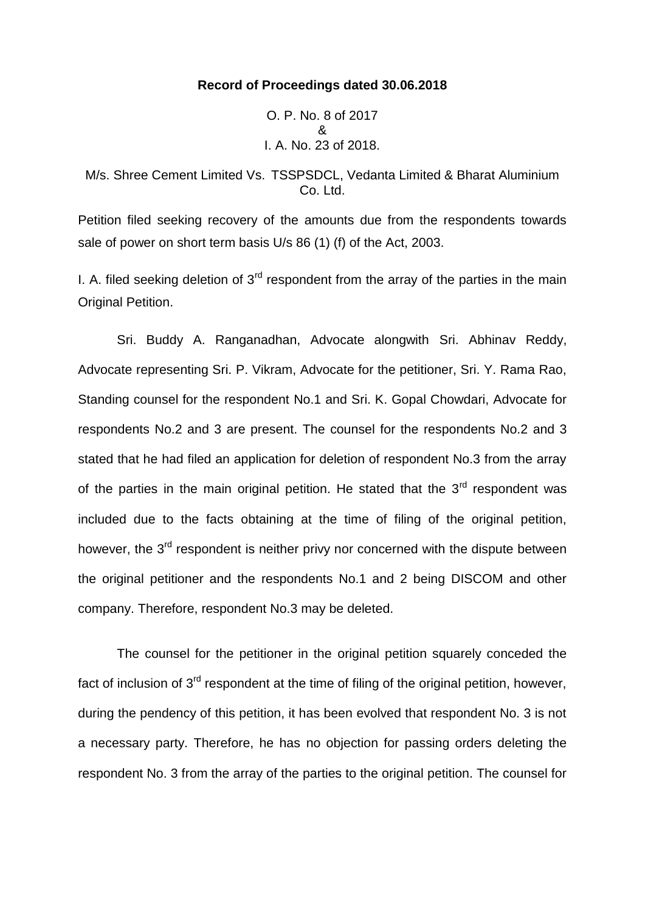## **Record of Proceedings dated 30.06.2018**

O. P. No. 8 of 2017 & I. A. No. 23 of 2018.

M/s. Shree Cement Limited Vs. TSSPSDCL, Vedanta Limited & Bharat Aluminium Co. Ltd.

Petition filed seeking recovery of the amounts due from the respondents towards sale of power on short term basis U/s 86 (1) (f) of the Act, 2003.

I. A. filed seeking deletion of  $3<sup>rd</sup>$  respondent from the array of the parties in the main Original Petition.

Sri. Buddy A. Ranganadhan, Advocate alongwith Sri. Abhinav Reddy, Advocate representing Sri. P. Vikram, Advocate for the petitioner, Sri. Y. Rama Rao, Standing counsel for the respondent No.1 and Sri. K. Gopal Chowdari, Advocate for respondents No.2 and 3 are present. The counsel for the respondents No.2 and 3 stated that he had filed an application for deletion of respondent No.3 from the array of the parties in the main original petition. He stated that the  $3<sup>rd</sup>$  respondent was included due to the facts obtaining at the time of filing of the original petition, however, the 3<sup>rd</sup> respondent is neither privy nor concerned with the dispute between the original petitioner and the respondents No.1 and 2 being DISCOM and other company. Therefore, respondent No.3 may be deleted.

The counsel for the petitioner in the original petition squarely conceded the fact of inclusion of  $3<sup>rd</sup>$  respondent at the time of filing of the original petition, however, during the pendency of this petition, it has been evolved that respondent No. 3 is not a necessary party. Therefore, he has no objection for passing orders deleting the respondent No. 3 from the array of the parties to the original petition. The counsel for